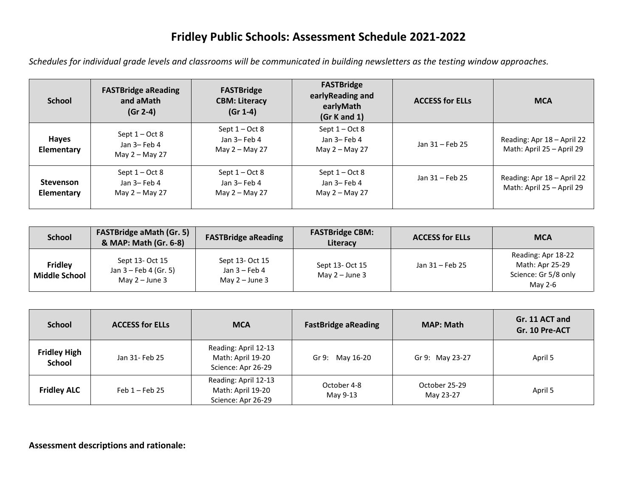## **Fridley Public Schools: Assessment Schedule 2021-2022**

*Schedules for individual grade levels and classrooms will be communicated in building newsletters as the testing window approaches.*

| <b>School</b>                  | <b>FASTBridge aReading</b><br>and aMath<br>$(Gr 2-4)$ | <b>FASTBridge</b><br><b>CBM: Literacy</b><br>$(Gr 1-4)$ | <b>FASTBridge</b><br>earlyReading and<br>earlyMath<br>(Gr K and 1) | <b>ACCESS for ELLs</b> | <b>MCA</b>                                              |
|--------------------------------|-------------------------------------------------------|---------------------------------------------------------|--------------------------------------------------------------------|------------------------|---------------------------------------------------------|
| Hayes<br>Elementary            | Sept $1 - Oct 8$<br>Jan 3-Feb 4<br>May 2 – May 27     | Sept $1 - Oct 8$<br>Jan 3- Feb 4<br>May 2 - May 27      | Sept $1 - Oct 8$<br>Jan 3- Feb 4<br>May 2 – May 27                 | Jan 31 - Feb 25        | Reading: Apr 18 - April 22<br>Math: April 25 - April 29 |
| <b>Stevenson</b><br>Elementary | Sept $1 - Oct 8$<br>Jan 3-Feb 4<br>May 2 - May 27     | Sept $1 - Oct 8$<br>Jan 3-Feb 4<br>May 2 - May 27       | Sept $1 - Oct 8$<br>Jan 3- Feb 4<br>May 2 - May 27                 | Jan 31 - Feb 25        | Reading: Apr 18 - April 22<br>Math: April 25 – April 29 |

| <b>School</b>                          | <b>FASTBridge aMath (Gr. 5)</b><br>& MAP: Math (Gr. 6-8)               | <b>FASTBridge aReading</b>                             | <b>FASTBridge CBM:</b><br>Literacy  | <b>ACCESS for ELLs</b> | <b>MCA</b>                                                               |
|----------------------------------------|------------------------------------------------------------------------|--------------------------------------------------------|-------------------------------------|------------------------|--------------------------------------------------------------------------|
| <b>Fridley</b><br><b>Middle School</b> | Sept 13- Oct 15<br>Jan $3 - \text{Feb } 4$ (Gr. 5)<br>May $2 -$ June 3 | Sept 13- Oct 15<br>Jan $3$ – Feb 4<br>May $2 -$ June 3 | Sept 13- Oct 15<br>May $2 -$ June 3 | Jan 31 – Feb 25        | Reading: Apr 18-22<br>Math: Apr 25-29<br>Science: Gr 5/8 only<br>May 2-6 |

| <b>School</b>                        | <b>ACCESS for ELLs</b> | <b>MCA</b>                                                      | <b>FastBridge aReading</b> | <b>MAP: Math</b>           | Gr. 11 ACT and<br>Gr. 10 Pre-ACT |
|--------------------------------------|------------------------|-----------------------------------------------------------------|----------------------------|----------------------------|----------------------------------|
| <b>Fridley High</b><br><b>School</b> | Jan 31- Feb 25         | Reading: April 12-13<br>Math: April 19-20<br>Science: Apr 26-29 | Gr 9: May 16-20            | Gr 9: May 23-27            | April 5                          |
| <b>Fridley ALC</b>                   | Feb $1 -$ Feb 25       | Reading: April 12-13<br>Math: April 19-20<br>Science: Apr 26-29 | October 4-8<br>May 9-13    | October 25-29<br>May 23-27 | April 5                          |

**Assessment descriptions and rationale:**